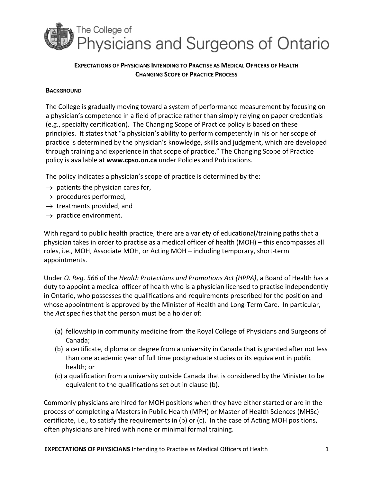

# **EXPECTATIONS OF PHYSICIANS INTENDING TO PRACTISE AS MEDICAL OFFICERS OF HEALTH CHANGING SCOPE OF PRACTICE PROCESS**

## **BACKGROUND**

The College is gradually moving toward a system of performance measurement by focusing on a physician's competence in a field of practice rather than simply relying on paper credentials (e.g., specialty certification). The Changing Scope of Practice policy is based on these principles. It states that "a physician's ability to perform competently in his or her scope of practice is determined by the physician's knowledge, skills and judgment, which are developed through training and experience in that scope of practice." The Changing Scope of Practice policy is available at **www.cpso.on.ca** under Policies and Publications.

The policy indicates a physician's scope of practice is determined by the:

- $\rightarrow$  patients the physician cares for,
- $\rightarrow$  procedures performed,
- $\rightarrow$  treatments provided, and
- $\rightarrow$  practice environment.

With regard to public health practice, there are a variety of educational/training paths that a physician takes in order to practise as a medical officer of health (MOH) – this encompasses all roles, i.e., MOH, Associate MOH, or Acting MOH – including temporary, short‐term appointments.

Under *O. Reg. 566* of the *Health Protections and Promotions Act (HPPA)*, a Board of Health has a duty to appoint a medical officer of health who is a physician licensed to practise independently in Ontario, who possesses the qualifications and requirements prescribed for the position and whose appointment is approved by the Minister of Health and Long-Term Care. In particular, the *Act* specifies that the person must be a holder of:

- (a) fellowship in community medicine from the Royal College of Physicians and Surgeons of Canada;
- (b) a certificate, diploma or degree from a university in Canada that is granted after not less than one academic year of full time postgraduate studies or its equivalent in public health; or
- (c) a qualification from a university outside Canada that is considered by the Minister to be equivalent to the qualifications set out in clause (b).

Commonly physicians are hired for MOH positions when they have either started or are in the process of completing a Masters in Public Health (MPH) or Master of Health Sciences (MHSc) certificate, i.e., to satisfy the requirements in (b) or (c). In the case of Acting MOH positions, often physicians are hired with none or minimal formal training.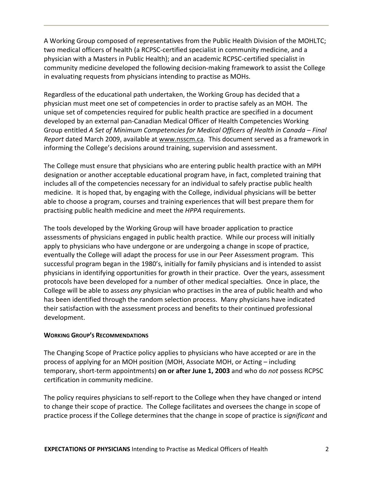A Working Group composed of representatives from the Public Health Division of the MOHLTC; two medical officers of health (a RCPSC‐certified specialist in community medicine, and a physician with a Masters in Public Health); and an academic RCPSC‐certified specialist in community medicine developed the following decision‐making framework to assist the College in evaluating requests from physicians intending to practise as MOHs.

Regardless of the educational path undertaken, the Working Group has decided that a physician must meet one set of competencies in order to practise safely as an MOH. The unique set of competencies required for public health practice are specified in a document developed by an external pan‐Canadian Medical Officer of Health Competencies Working Group entitled *A Set of Minimum Competencies for Medical Officers of Health in Canada – Final Report* dated March 2009, available at www.nsscm.ca. This document served as a framework in informing the College's decisions around training, supervision and assessment.

The College must ensure that physicians who are entering public health practice with an MPH designation or another acceptable educational program have, in fact, completed training that includes all of the competencies necessary for an individual to safely practise public health medicine. It is hoped that, by engaging with the College, individual physicians will be better able to choose a program, courses and training experiences that will best prepare them for practising public health medicine and meet the *HPPA* requirements.

The tools developed by the Working Group will have broader application to practice assessments of physicians engaged in public health practice. While our process will initially apply to physicians who have undergone or are undergoing a change in scope of practice, eventually the College will adapt the process for use in our Peer Assessment program. This successful program began in the 1980's, initially for family physicians and is intended to assist physicians in identifying opportunities for growth in their practice. Over the years, assessment protocols have been developed for a number of other medical specialties. Once in place, the College will be able to assess *any* physician who practises in the area of public health and who has been identified through the random selection process. Many physicians have indicated their satisfaction with the assessment process and benefits to their continued professional development.

### **WORKING GROUP'S RECOMMENDATIONS**

The Changing Scope of Practice policy applies to physicians who have accepted or are in the process of applying for an MOH position (MOH, Associate MOH, or Acting – including temporary, short‐term appointments) **on or after June 1, 2003** and who do *not* possess RCPSC certification in community medicine.

The policy requires physicians to self-report to the College when they have changed or intend to change their scope of practice. The College facilitates and oversees the change in scope of practice process if the College determines that the change in scope of practice is *significant* and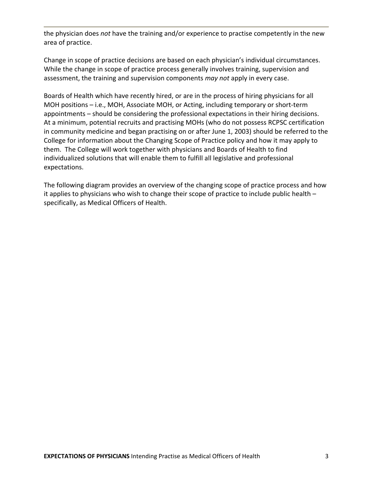the physician does *not* have the training and/or experience to practise competently in the new area of practice.

Change in scope of practice decisions are based on each physician's individual circumstances. While the change in scope of practice process generally involves training, supervision and assessment, the training and supervision components *may not* apply in every case.

Boards of Health which have recently hired, or are in the process of hiring physicians for all MOH positions – i.e., MOH, Associate MOH, or Acting, including temporary or short-term appointments – should be considering the professional expectations in their hiring decisions. At a minimum, potential recruits and practising MOHs (who do not possess RCPSC certification in community medicine and began practising on or after June 1, 2003) should be referred to the College for information about the Changing Scope of Practice policy and how it may apply to them. The College will work together with physicians and Boards of Health to find individualized solutions that will enable them to fulfill all legislative and professional expectations.

The following diagram provides an overview of the changing scope of practice process and how it applies to physicians who wish to change their scope of practice to include public health – specifically, as Medical Officers of Health.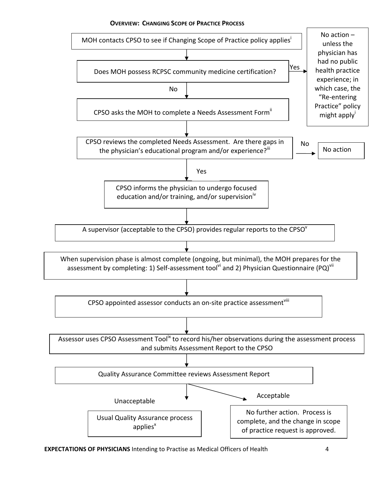#### **OVERVIEW: CHANGING SCOPE OF PRACTICE PROCESS**

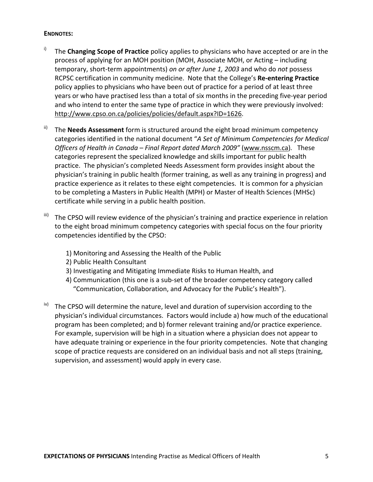### **ENDNOTES:**

- i) The **Changing Scope of Practice** policy applies to physicians who have accepted or are in the process of applying for an MOH position (MOH, Associate MOH, or Acting – including temporary, short‐term appointments) *on or after June 1, 2003* and who do *not* possess RCPSC certification in community medicine. Note that the College's **Re‐entering Practice** policy applies to physicians who have been out of practice for a period of at least three years or who have practised less than a total of six months in the preceding five‐year period and who intend to enter the same type of practice in which they were previously involved: http://www.cpso.on.ca/policies/policies/default.aspx?ID=1626.
- ii) The **Needs Assessment** form is structured around the eight broad minimum competency categories identified in the national document "*A Set of Minimum Competencies for Medical Officers of Health in Canada – Final Report dated March 2009"* (www.nsscm.ca)*.* These categories represent the specialized knowledge and skills important for public health practice. The physician's completed Needs Assessment form provides insight about the physician's training in public health (former training, as well as any training in progress) and practice experience as it relates to these eight competencies. It is common for a physician to be completing a Masters in Public Health (MPH) or Master of Health Sciences (MHSc) certificate while serving in a public health position.
- iii) The CPSO will review evidence of the physician's training and practice experience in relation to the eight broad minimum competency categories with special focus on the four priority competencies identified by the CPSO:
	- 1) Monitoring and Assessing the Health of the Public
	- 2) Public Health Consultant
	- 3) Investigating and Mitigating Immediate Risks to Human Health, and
	- 4) Communication (this one is a sub‐set of the broader competency category called "Communication, Collaboration, and Advocacy for the Public's Health").
- The CPSO will determine the nature, level and duration of supervision according to the physician's individual circumstances. Factors would include a) how much of the educational program has been completed; and b) former relevant training and/or practice experience. For example, supervision will be high in a situation where a physician does not appear to have adequate training or experience in the four priority competencies. Note that changing scope of practice requests are considered on an individual basis and not all steps (training, supervision, and assessment) would apply in every case.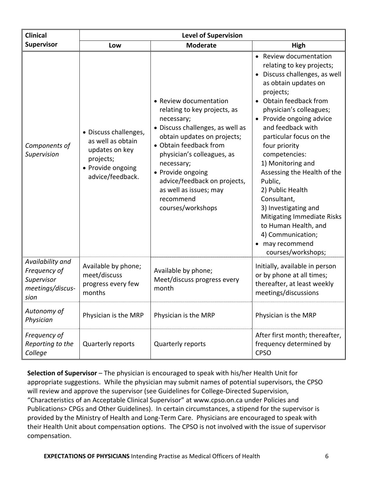| <b>Clinical</b>                                                            | <b>Level of Supervision</b>                                                                                        |                                                                                                                                                                                                                                                                                                                                |                                                                                                                                                                                                                                                                                                                                                                                                                                                                                                                                          |
|----------------------------------------------------------------------------|--------------------------------------------------------------------------------------------------------------------|--------------------------------------------------------------------------------------------------------------------------------------------------------------------------------------------------------------------------------------------------------------------------------------------------------------------------------|------------------------------------------------------------------------------------------------------------------------------------------------------------------------------------------------------------------------------------------------------------------------------------------------------------------------------------------------------------------------------------------------------------------------------------------------------------------------------------------------------------------------------------------|
| Supervisor                                                                 | Low                                                                                                                | <b>Moderate</b>                                                                                                                                                                                                                                                                                                                | High                                                                                                                                                                                                                                                                                                                                                                                                                                                                                                                                     |
| Components of<br>Supervision                                               | • Discuss challenges,<br>as well as obtain<br>updates on key<br>projects;<br>• Provide ongoing<br>advice/feedback. | • Review documentation<br>relating to key projects, as<br>necessary;<br>• Discuss challenges, as well as<br>obtain updates on projects;<br>• Obtain feedback from<br>physician's colleagues, as<br>necessary;<br>• Provide ongoing<br>advice/feedback on projects,<br>as well as issues; may<br>recommend<br>courses/workshops | • Review documentation<br>relating to key projects;<br>• Discuss challenges, as well<br>as obtain updates on<br>projects;<br>Obtain feedback from<br>physician's colleagues;<br>• Provide ongoing advice<br>and feedback with<br>particular focus on the<br>four priority<br>competencies:<br>1) Monitoring and<br>Assessing the Health of the<br>Public,<br>2) Public Health<br>Consultant,<br>3) Investigating and<br>Mitigating Immediate Risks<br>to Human Health, and<br>4) Communication;<br>• may recommend<br>courses/workshops; |
| Availability and<br>Frequency of<br>Supervisor<br>meetings/discus-<br>sion | Available by phone;<br>meet/discuss<br>progress every few<br>months                                                | Available by phone;<br>Meet/discuss progress every<br>month                                                                                                                                                                                                                                                                    | Initially, available in person<br>or by phone at all times;<br>thereafter, at least weekly<br>meetings/discussions                                                                                                                                                                                                                                                                                                                                                                                                                       |
| Autonomy of<br>Physician                                                   | Physician is the MRP                                                                                               | Physician is the MRP                                                                                                                                                                                                                                                                                                           | Physician is the MRP                                                                                                                                                                                                                                                                                                                                                                                                                                                                                                                     |
| Frequency of<br>Reporting to the<br>College                                | Quarterly reports                                                                                                  | Quarterly reports                                                                                                                                                                                                                                                                                                              | After first month; thereafter,<br>frequency determined by<br><b>CPSO</b>                                                                                                                                                                                                                                                                                                                                                                                                                                                                 |

**Selection of Supervisor** – The physician is encouraged to speak with his/her Health Unit for appropriate suggestions. While the physician may submit names of potential supervisors, the CPSO will review and approve the supervisor (see Guidelines for College-Directed Supervision, "Characteristics of an Acceptable Clinical Supervisor" at www.cpso.on.ca under Policies and Publications> CPGs and Other Guidelines). In certain circumstances, a stipend for the supervisor is provided by the Ministry of Health and Long‐Term Care. Physicians are encouraged to speak with their Health Unit about compensation options. The CPSO is not involved with the issue of supervisor compensation.